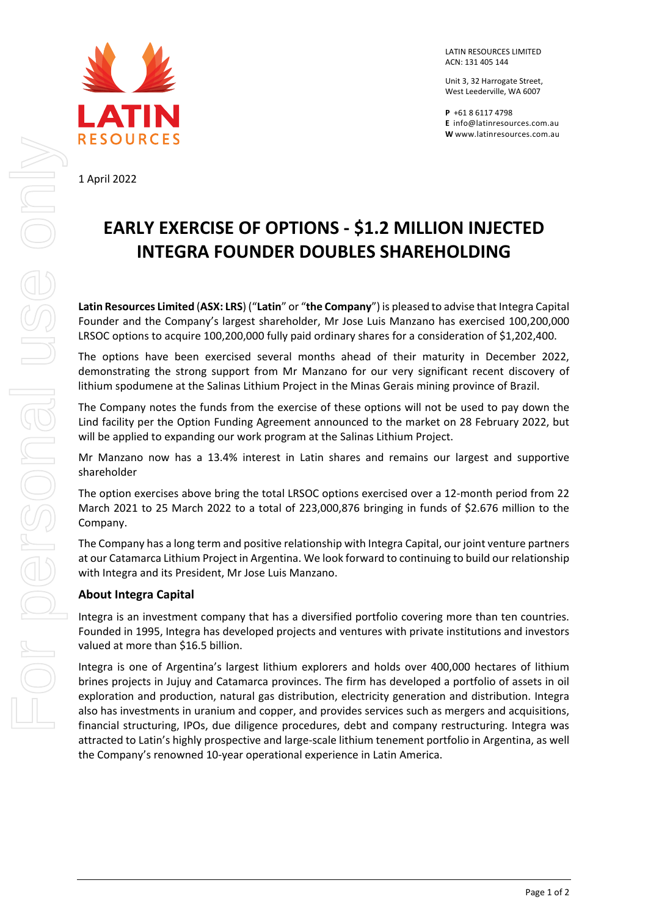

1 April 2022

LATIN RESOURCES LIMITED ACN: 131 405 144

Unit 3, 32 Harrogate Street, West Leederville, WA 6007

**P** +61 8 6117 4798 **E** [info@latinresources.com.au](mailto:info@latinresources.com.au) **W** [www.latinresources.com.au](http://www.latinresources.com.au/)

## **EARLY EXERCISE OF OPTIONS - \$1.2 MILLION INJECTED INTEGRA FOUNDER DOUBLES SHAREHOLDING**

**Latin Resources Limited** (**ASX: LRS**) ("**Latin**" or "**the Company**") is pleased to advise that Integra Capital Founder and the Company's largest shareholder, Mr Jose Luis Manzano has exercised 100,200,000 LRSOC options to acquire 100,200,000 fully paid ordinary shares for a consideration of \$1,202,400.

The options have been exercised several months ahead of their maturity in December 2022, demonstrating the strong support from Mr Manzano for our very significant recent discovery of lithium spodumene at the Salinas Lithium Project in the Minas Gerais mining province of Brazil.

The Company notes the funds from the exercise of these options will not be used to pay down the Lind facility per the Option Funding Agreement announced to the market on 28 February 2022, but will be applied to expanding our work program at the Salinas Lithium Project.

Mr Manzano now has a 13.4% interest in Latin shares and remains our largest and supportive shareholder

The option exercises above bring the total LRSOC options exercised over a 12-month period from 22 March 2021 to 25 March 2022 to a total of 223,000,876 bringing in funds of \$2.676 million to the Company.

The Company has a long term and positive relationship with Integra Capital, our joint venture partners at our Catamarca Lithium Project in Argentina. We look forward to continuing to build our relationship with Integra and its President, Mr Jose Luis Manzano.

## **About Integra Capital**

Integra is an investment company that has a diversified portfolio covering more than ten countries. Founded in 1995, Integra has developed projects and ventures with private institutions and investors valued at more than \$16.5 billion.

Integra is one of Argentina's largest lithium explorers and holds over 400,000 hectares of lithium brines projects in Jujuy and Catamarca provinces. The firm has developed a portfolio of assets in oil exploration and production, natural gas distribution, electricity generation and distribution. Integra also has investments in uranium and copper, and provides services such as mergers and acquisitions, financial structuring, IPOs, due diligence procedures, debt and company restructuring. Integra was attracted to Latin's highly prospective and large-scale lithium tenement portfolio in Argentina, as well the Company's renowned 10-year operational experience in Latin America.